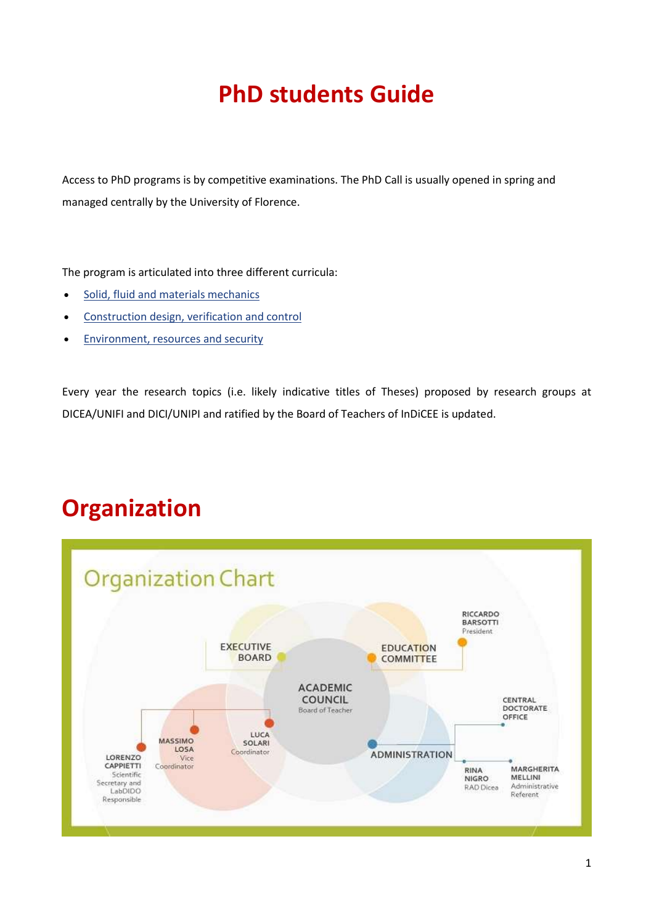# **PhD students Guide**

Access to PhD programs is by competitive examinations. The PhD Call is usually opened in spring and managed centrally by the University of Florence.

The program is articulated into three different curricula:

- [Solid, fluid and materials mechanics](https://www.indicee.unifi.it/vp-100-solid-fluid-and-materials-mechanics.html)
- **•** [Construction design, verification and control](https://www.indicee.unifi.it/vp-101-construction-design-verification-and-control.html)
- **[Environment, resources and security](https://www.indicee.unifi.it/vp-102-environment-resources-and-security.html)**

Every year the research topics (i.e. likely indicative titles of Theses) proposed by research groups at DICEA/UNIFI and DICI/UNIPI and ratified by the Board of Teachers of InDiCEE is updated.

### **Organization**

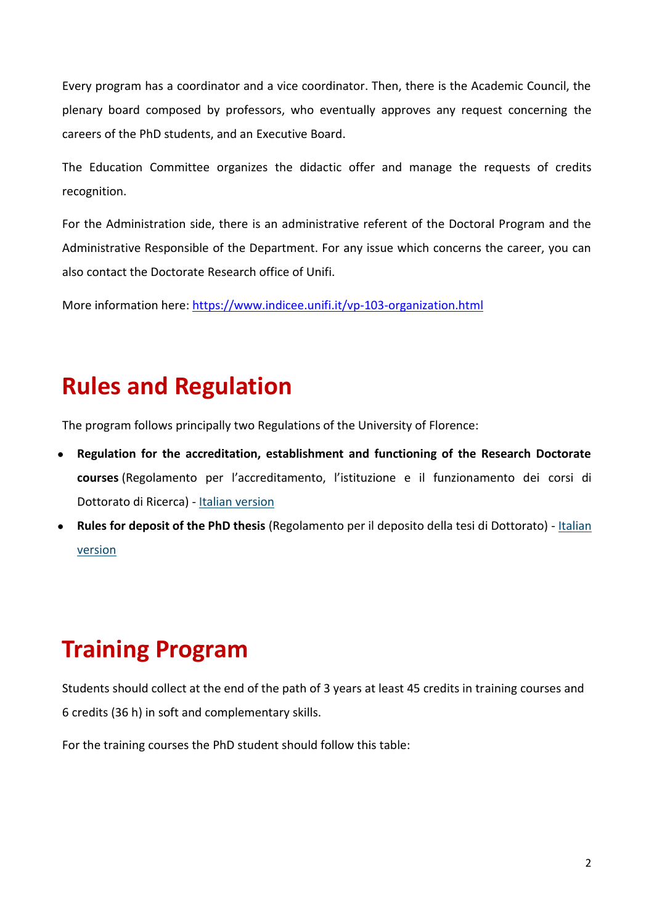Every program has a coordinator and a vice coordinator. Then, there is the Academic Council, the plenary board composed by professors, who eventually approves any request concerning the careers of the PhD students, and an Executive Board.

The Education Committee organizes the didactic offer and manage the requests of credits recognition.

For the Administration side, there is an administrative referent of the Doctoral Program and the Administrative Responsible of the Department. For any issue which concerns the career, you can also contact the Doctorate Research office of Unifi.

More information here: <https://www.indicee.unifi.it/vp-103-organization.html>

### **Rules and Regulation**

The program follows principally two Regulations of the University of Florence:

- Regulation for the accreditation, establishment and functioning of the Research Doctorate **courses** (Regolamento per l'accreditamento, l'istituzione e il funzionamento dei corsi di Dottorato di Ricerca) - [Italian version](https://www.unifi.it/upload/sub/statuto_normativa/dottorato_dal_xxix.pdf)
- **Rules for deposit of the PhD thesis** (Regolamento per il deposito della tesi di Dottorato) [Italian](https://www.unifi.it/upload/sub/statuto_normativa/Regolamento%20per%20il%20deposito%20della%20tesi%20di%20Dottorato.pdf)  [version](https://www.unifi.it/upload/sub/statuto_normativa/Regolamento%20per%20il%20deposito%20della%20tesi%20di%20Dottorato.pdf)

### **Training Program**

Students should collect at the end of the path of 3 years at least 45 credits in training courses and 6 credits (36 h) in soft and complementary skills.

For the training courses the PhD student should follow this table: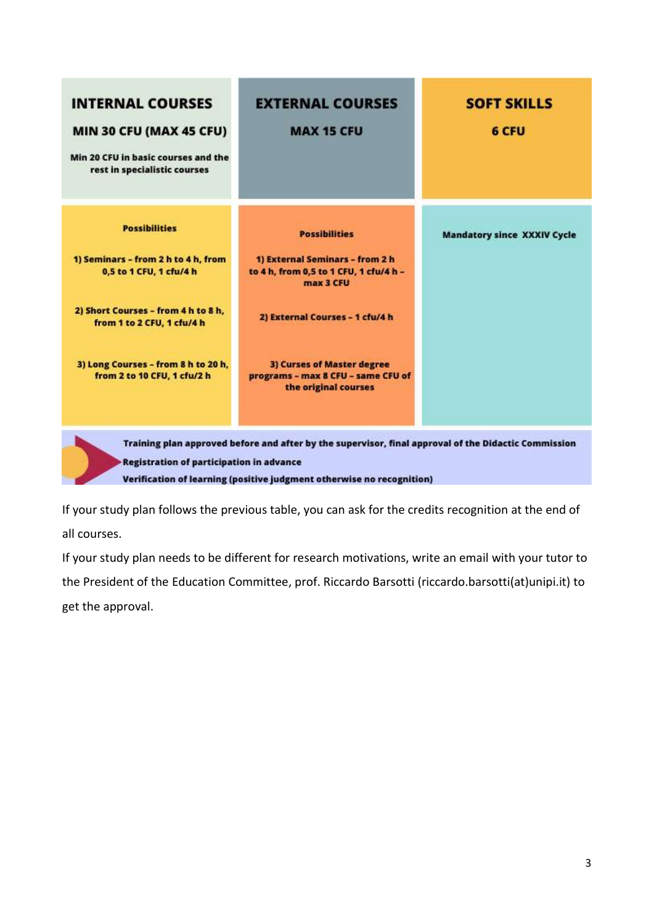| <b>INTERNAL COURSES</b><br>MIN 30 CFU (MAX 45 CFU)<br>Min 20 CFU in basic courses and the<br>rest in specialistic courses | <b>EXTERNAL COURSES</b><br><b>MAX 15 CFU</b>                                                                                                                                  | <b>SOFT SKILLS</b><br>6 CFU        |
|---------------------------------------------------------------------------------------------------------------------------|-------------------------------------------------------------------------------------------------------------------------------------------------------------------------------|------------------------------------|
| <b>Possibilities</b>                                                                                                      | <b>Possibilities</b>                                                                                                                                                          | <b>Mandatory since XXXIV Cycle</b> |
| 1) Seminars - from 2 h to 4 h, from<br>0,5 to 1 CFU, 1 cfu/4 h                                                            | 1) External Seminars - from 2 h<br>to 4 h, from 0,5 to 1 CFU, 1 cfu/4 h -<br>max 3 CFU                                                                                        |                                    |
| 2) Short Courses - from 4 h to 8 h,<br>from 1 to 2 CFU, 1 cfu/4 h                                                         | 2) External Courses - 1 cfu/4 h                                                                                                                                               |                                    |
| 3) Long Courses - from 8 h to 20 h,<br>from 2 to 10 CFU, 1 cfu/2 h                                                        | 3) Curses of Master degree<br>programs - max 8 CFU - same CFU of<br>the original courses                                                                                      |                                    |
| <b>Registration of participation in advance</b>                                                                           | Training plan approved before and after by the supervisor, final approval of the Didactic Commission<br>Verification of learning (positive judgment otherwise no recognition) |                                    |

Verification of learning (positive judgment otherwise no recognition)

If your study plan follows the previous table, you can ask for the credits recognition at the end of all courses.

If your study plan needs to be different for research motivations, write an email with your tutor to the President of the [Education Committee,](https://www.indicee.unifi.it/vp-167-education-committee.html) prof. Riccardo Barsotti (riccardo.barsotti(at)unipi.it) to get the approval.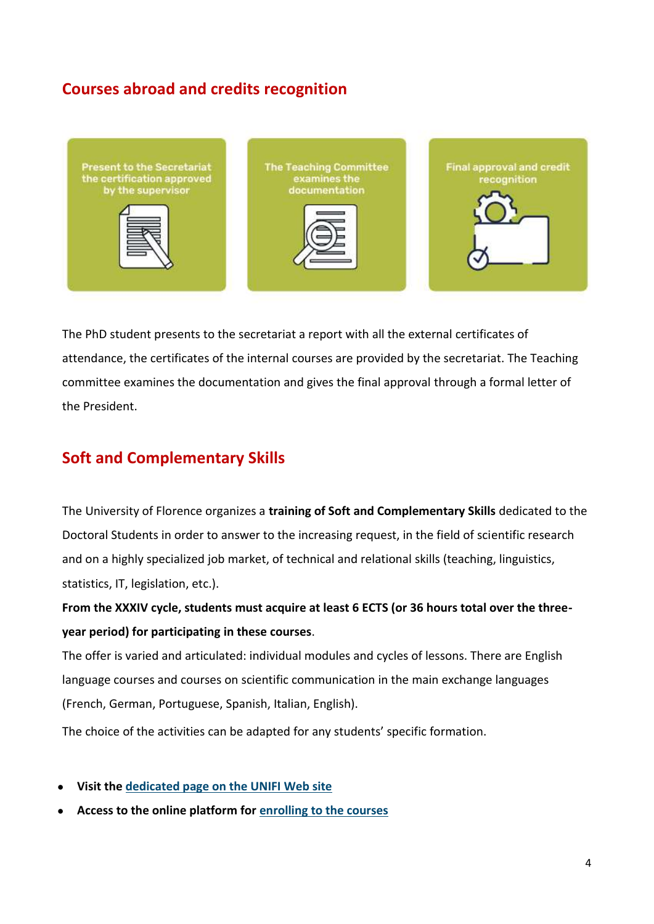### **Courses abroad and credits recognition**



The PhD student presents to the secretariat a report with all the external certificates of attendance, the certificates of the internal courses are provided by the secretariat. The Teaching committee examines the documentation and gives the final approval through a formal letter of the President.

### **Soft and Complementary Skills**

The University of Florence organizes a **training of Soft and Complementary Skills** dedicated to the Doctoral Students in order to answer to the increasing request, in the field of scientific research and on a highly specialized job market, of technical and relational skills (teaching, linguistics, statistics, IT, legislation, etc.).

**From the XXXIV cycle, students must acquire at least 6 ECTS (or 36 hours total over the threeyear period) for participating in these courses**.

The offer is varied and articulated: individual modules and cycles of lessons. There are English language courses and courses on scientific communication in the main exchange languages (French, German, Portuguese, Spanish, Italian, English).

The choice of the activities can be adapted for any students' specific formation.

- **Visit the [dedicated page on the UNIFI Web site](https://www.unifi.it/p385.html)**
- **Access to the online platform for [enrolling to the courses](https://sol.unifi.it/TestAttitudinali/TestAttitudinali)**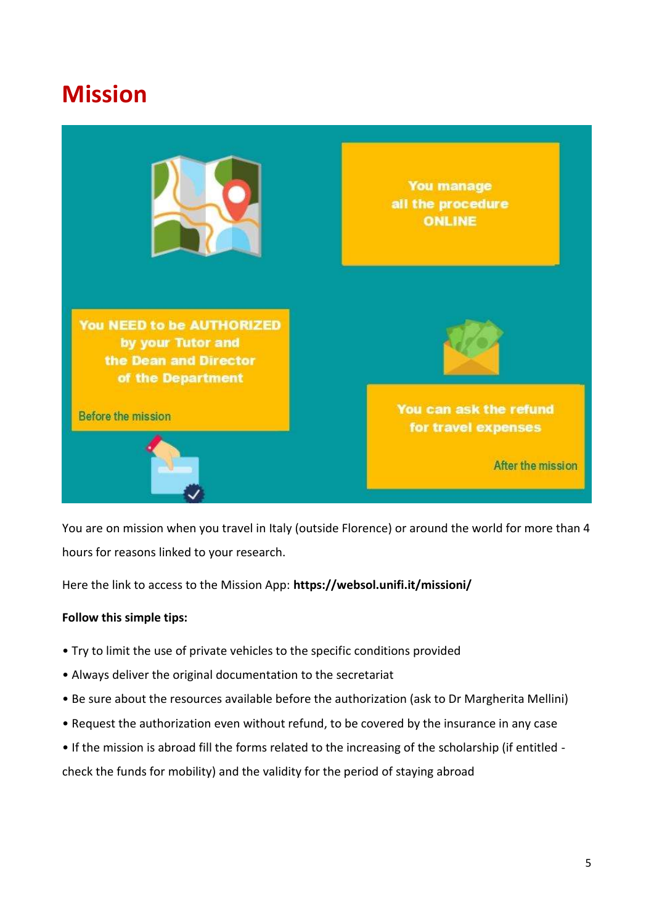### **Mission**



You are on mission when you travel in Italy (outside Florence) or around the world for more than 4 hours for reasons linked to your research.

Here the link to access to the Mission App: **<https://websol.unifi.it/missioni/>**

#### **Follow this simple tips:**

- Try to limit the use of private vehicles to the specific conditions provided
- Always deliver the original documentation to the secretariat
- Be sure about the resources available before the authorization (ask to Dr Margherita Mellini)
- Request the authorization even without refund, to be covered by the insurance in any case
- If the mission is abroad fill the forms related to the increasing of the scholarship (if entitled -

check the funds for mobility) and the validity for the period of staying abroad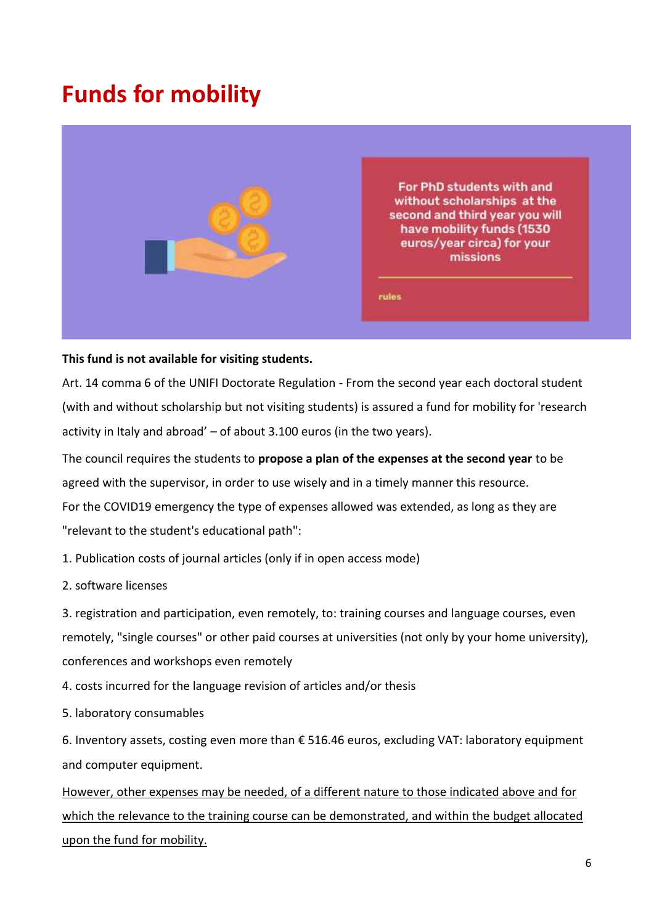### **Funds for mobility**



#### **This fund is not available for visiting students.**

Art. 14 comma 6 of the UNIFI Doctorate Regulation - From the second year each doctoral student (with and without scholarship but not visiting students) is assured a fund for mobility for 'research activity in Italy and abroad' – of about 3.100 euros (in the two years).

The council requires the students to **propose a plan of the expenses at the second year** to be agreed with the supervisor, in order to use wisely and in a timely manner this resource. For the COVID19 emergency the type of expenses allowed was extended, as long as they are "relevant to the student's educational path":

1. Publication costs of journal articles (only if in open access mode)

2. software licenses

3. registration and participation, even remotely, to: training courses and language courses, even remotely, "single courses" or other paid courses at universities (not only by your home university), conferences and workshops even remotely

- 4. costs incurred for the language revision of articles and/or thesis
- 5. laboratory consumables

6. Inventory assets, costing even more than € 516.46 euros, excluding VAT: laboratory equipment and computer equipment.

However, other expenses may be needed, of a different nature to those indicated above and for which the relevance to the training course can be demonstrated, and within the budget allocated upon the fund for mobility.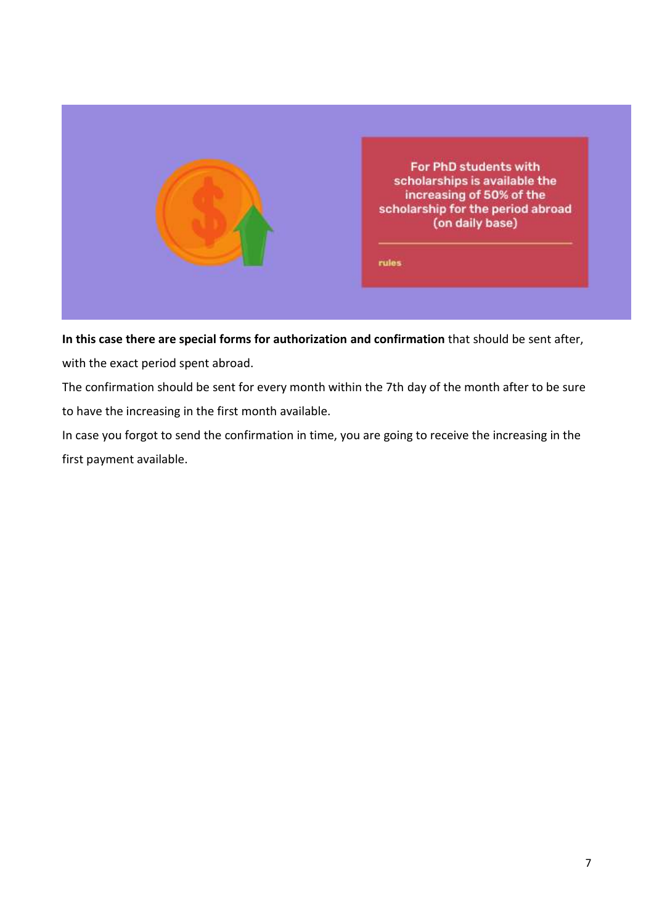

**In this case there are special forms for authorization and confirmation** that should be sent after, with the exact period spent abroad.

The confirmation should be sent for every month within the 7th day of the month after to be sure to have the increasing in the first month available.

In case you forgot to send the confirmation in time, you are going to receive the increasing in the first payment available.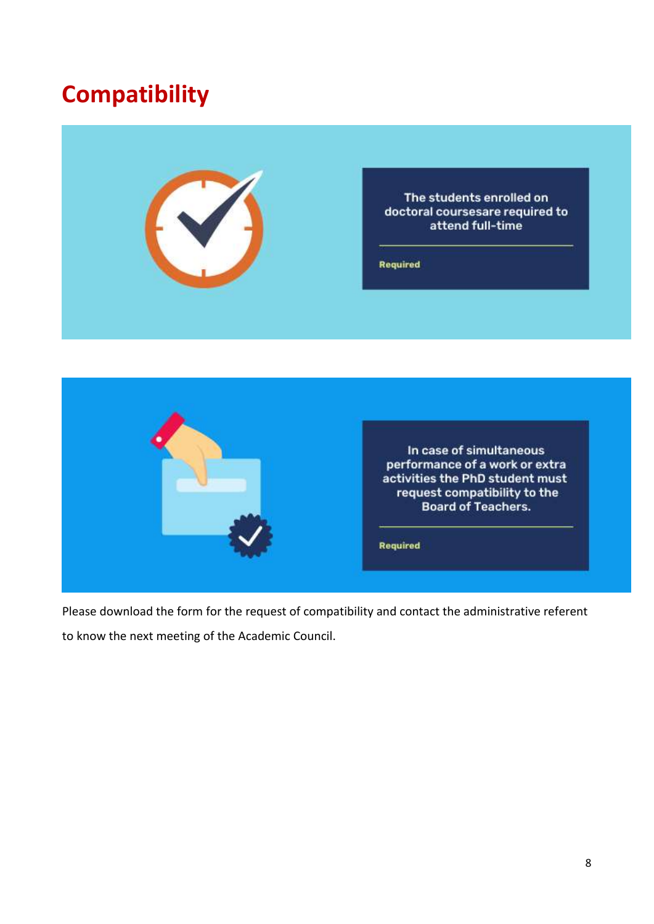## **Compatibility**





Please download the form for the request of compatibility and contact the administrative referent to know the next meeting of the Academic Council.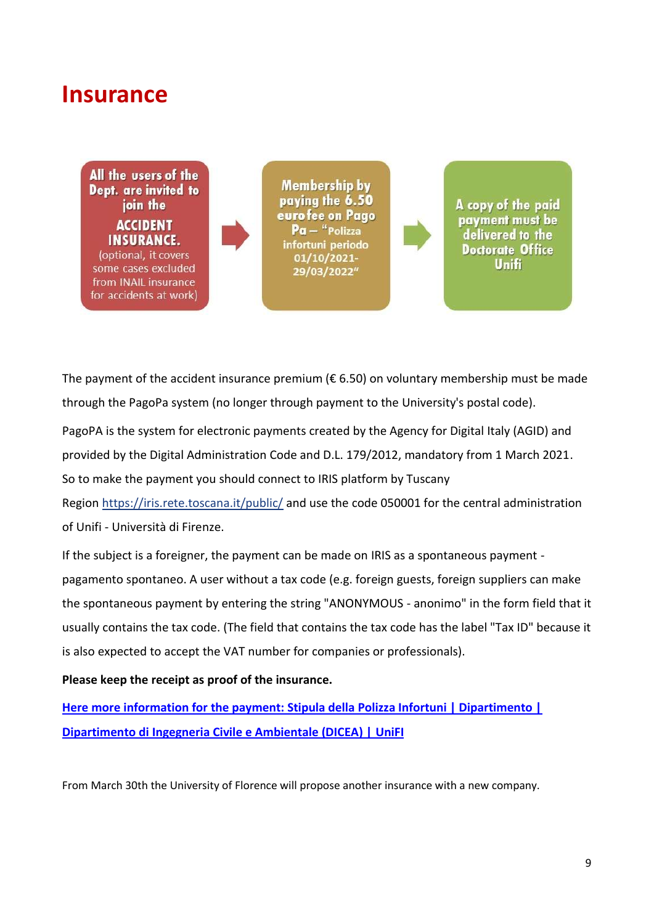### **Insurance**

All the users of the **Dept.** are invited to join the **ACCIDENT INSURANCE.** (optional, it covers

some cases excluded from INAIL insurance for accidents at work)

**Membership by** paying the 6.50 euro fee on Pago Pa - "Polizza infortuni periodo 01/10/2021-29/03/2022"

A copy of the paid payment must be delivered to the **Doctorate Office Unifi** 

The payment of the accident insurance premium ( $\epsilon$  6.50) on voluntary membership must be made through the PagoPa system (no longer through payment to the University's postal code).

PagoPA is the system for electronic payments created by the Agency for Digital Italy (AGID) and provided by the Digital Administration Code and D.L. 179/2012, mandatory from 1 March 2021. So to make the payment you should connect to IRIS platform by Tuscany

Region <https://iris.rete.toscana.it/public/> and use the code 050001 for the central administration of Unifi - Università di Firenze.

If the subject is a foreigner, the payment can be made on IRIS as a spontaneous payment pagamento spontaneo. A user without a tax code (e.g. foreign guests, foreign suppliers can make the spontaneous payment by entering the string "ANONYMOUS - anonimo" in the form field that it usually contains the tax code. (The field that contains the tax code has the label "Tax ID" because it is also expected to accept the VAT number for companies or professionals).

**Please keep the receipt as proof of the insurance.**

**[Here more information for the payment: Stipula della Polizza Infortuni | Dipartimento |](https://www.dicea.unifi.it/vp-726-stipula-della-polizza-infortuni.html)  [Dipartimento di Ingegneria Civile e Ambientale \(DICEA\) | UniFI](https://www.dicea.unifi.it/vp-726-stipula-della-polizza-infortuni.html)**

From March 30th the University of Florence will propose another insurance with a new company.